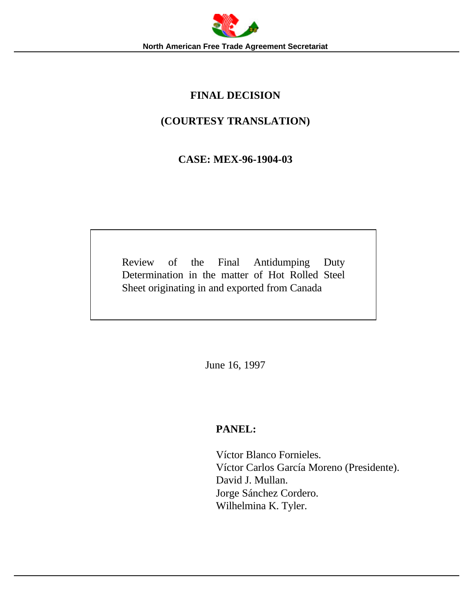# **FINAL DECISION**

# **(COURTESY TRANSLATION)**

# **CASE: MEX-96-1904-03**

Review of the Final Antidumping Duty Determination in the matter of Hot Rolled Steel Sheet originating in and exported from Canada

June 16, 1997

# **PANEL:**

Víctor Blanco Fornieles. Víctor Carlos García Moreno (Presidente). David J. Mullan. Jorge Sánchez Cordero. Wilhelmina K. Tyler.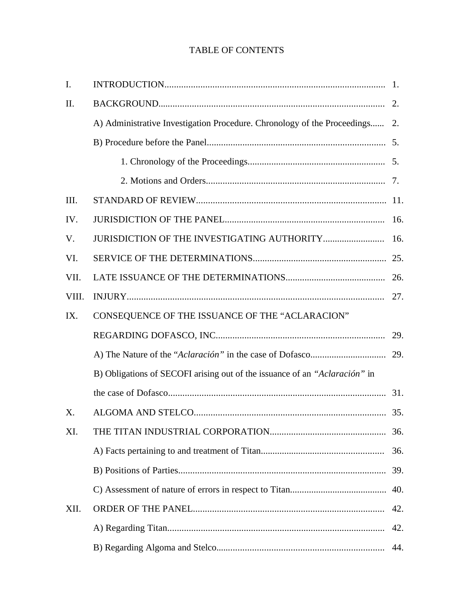# TABLE OF CONTENTS

| I.    |                                                                             |     |
|-------|-----------------------------------------------------------------------------|-----|
| Π.    |                                                                             |     |
|       | A) Administrative Investigation Procedure. Chronology of the Proceedings 2. |     |
|       |                                                                             |     |
|       |                                                                             |     |
|       |                                                                             |     |
| III.  |                                                                             |     |
| IV.   |                                                                             |     |
| V.    |                                                                             |     |
| VI.   |                                                                             |     |
| VII.  |                                                                             | 26. |
| VIII. |                                                                             |     |
| IX.   | CONSEQUENCE OF THE ISSUANCE OF THE "ACLARACION"                             |     |
|       |                                                                             |     |
|       |                                                                             |     |
|       | B) Obligations of SECOFI arising out of the issuance of an "Aclaración" in  |     |
|       |                                                                             |     |
| X.    |                                                                             |     |
| XI.   |                                                                             |     |
|       |                                                                             | 36. |
|       |                                                                             |     |
|       |                                                                             | 40. |
| XII.  |                                                                             | 42. |
|       |                                                                             | 42. |
|       |                                                                             | 44. |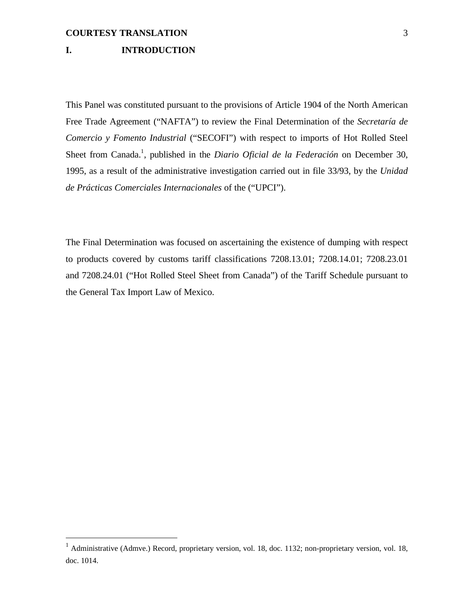<u>.</u>

# **I. INTRODUCTION**

This Panel was constituted pursuant to the provisions of Article 1904 of the North American Free Trade Agreement ("NAFTA") to review the Final Determination of the *Secretaría de Comercio y Fomento Industrial* ("SECOFI") with respect to imports of Hot Rolled Steel Sheet from Canada.<sup>1</sup>, published in the *Diario Oficial de la Federación* on December 30, 1995, as a result of the administrative investigation carried out in file 33/93, by the *Unidad de Prácticas Comerciales Internacionales* of the ("UPCI").

The Final Determination was focused on ascertaining the existence of dumping with respect to products covered by customs tariff classifications 7208.13.01; 7208.14.01; 7208.23.01 and 7208.24.01 ("Hot Rolled Steel Sheet from Canada") of the Tariff Schedule pursuant to the General Tax Import Law of Mexico.

<sup>&</sup>lt;sup>1</sup> Administrative (Admve.) Record, proprietary version, vol. 18, doc. 1132; non-proprietary version, vol. 18, doc. 1014.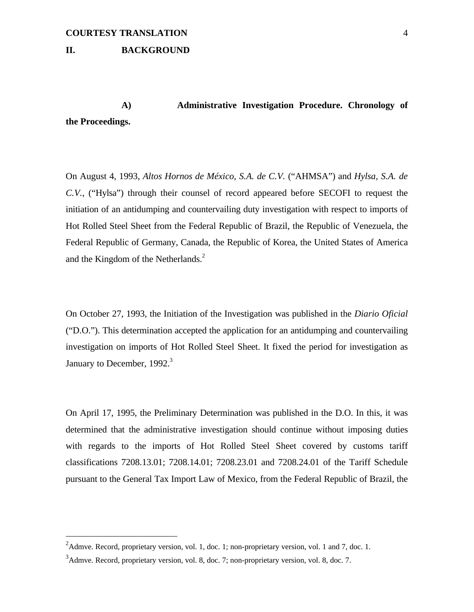# **II. BACKGROUND**

# **A) Administrative Investigation Procedure. Chronology of the Proceedings.**

On August 4, 1993, *Altos Hornos de México, S.A. de C.V.* ("AHMSA") and *Hylsa, S.A. de C.V.*, ("Hylsa") through their counsel of record appeared before SECOFI to request the initiation of an antidumping and countervailing duty investigation with respect to imports of Hot Rolled Steel Sheet from the Federal Republic of Brazil, the Republic of Venezuela, the Federal Republic of Germany, Canada, the Republic of Korea, the United States of America and the Kingdom of the Netherlands.<sup>2</sup>

On October 27, 1993, the Initiation of the Investigation was published in the *Diario Oficial* ("D.O."). This determination accepted the application for an antidumping and countervailing investigation on imports of Hot Rolled Steel Sheet. It fixed the period for investigation as January to December, 1992.<sup>3</sup>

On April 17, 1995, the Preliminary Determination was published in the D.O. In this, it was determined that the administrative investigation should continue without imposing duties with regards to the imports of Hot Rolled Steel Sheet covered by customs tariff classifications 7208.13.01; 7208.14.01; 7208.23.01 and 7208.24.01 of the Tariff Schedule pursuant to the General Tax Import Law of Mexico, from the Federal Republic of Brazil, the

<sup>&</sup>lt;sup>2</sup>Admve. Record, proprietary version, vol. 1, doc. 1; non-proprietary version, vol. 1 and 7, doc. 1.

 $3$ Admve. Record, proprietary version, vol. 8, doc. 7; non-proprietary version, vol. 8, doc. 7.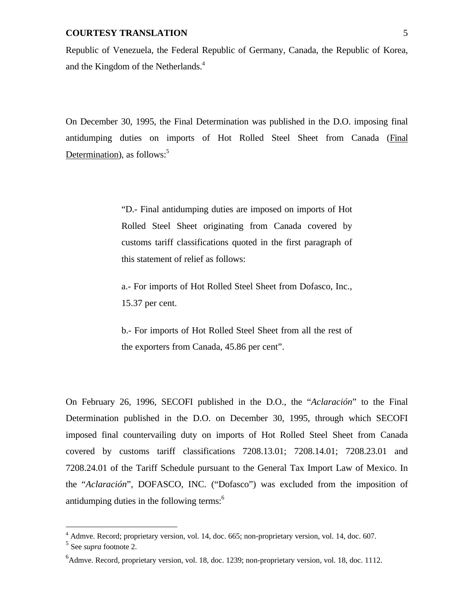Republic of Venezuela, the Federal Republic of Germany, Canada, the Republic of Korea, and the Kingdom of the Netherlands.<sup>4</sup>

On December 30, 1995, the Final Determination was published in the D.O. imposing final antidumping duties on imports of Hot Rolled Steel Sheet from Canada (Final Determination), as follows: $5$ 

> "D.- Final antidumping duties are imposed on imports of Hot Rolled Steel Sheet originating from Canada covered by customs tariff classifications quoted in the first paragraph of this statement of relief as follows:

> a.- For imports of Hot Rolled Steel Sheet from Dofasco, Inc., 15.37 per cent.

> b.- For imports of Hot Rolled Steel Sheet from all the rest of the exporters from Canada, 45.86 per cent".

On February 26, 1996, SECOFI published in the D.O., the "*Aclaración*" to the Final Determination published in the D.O. on December 30, 1995, through which SECOFI imposed final countervailing duty on imports of Hot Rolled Steel Sheet from Canada covered by customs tariff classifications 7208.13.01; 7208.14.01; 7208.23.01 and 7208.24.01 of the Tariff Schedule pursuant to the General Tax Import Law of Mexico. In the "*Aclaración*", DOFASCO, INC. ("Dofasco") was excluded from the imposition of antidumping duties in the following terms:<sup>6</sup>

<sup>&</sup>lt;sup>4</sup> Admve. Record; proprietary version, vol. 14, doc. 665; non-proprietary version, vol. 14, doc. 607.

<sup>5</sup> See *supra* footnote 2.

<sup>6</sup> Admve. Record, proprietary version, vol. 18, doc. 1239; non-proprietary version, vol. 18, doc. 1112.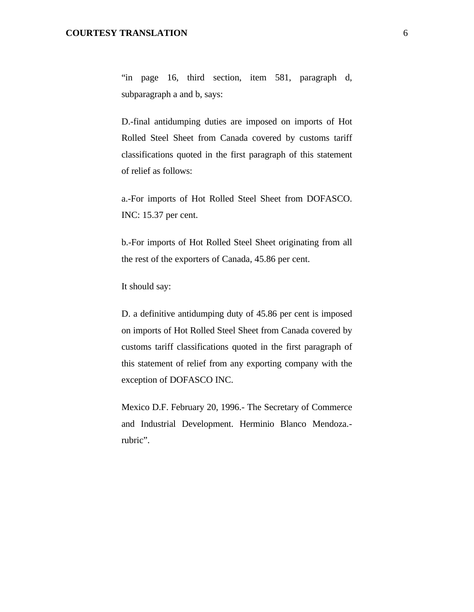"in page 16, third section, item 581, paragraph d, subparagraph a and b, says:

D.-final antidumping duties are imposed on imports of Hot Rolled Steel Sheet from Canada covered by customs tariff classifications quoted in the first paragraph of this statement of relief as follows:

a.-For imports of Hot Rolled Steel Sheet from DOFASCO. INC: 15.37 per cent.

b.-For imports of Hot Rolled Steel Sheet originating from all the rest of the exporters of Canada, 45.86 per cent.

It should say:

D. a definitive antidumping duty of 45.86 per cent is imposed on imports of Hot Rolled Steel Sheet from Canada covered by customs tariff classifications quoted in the first paragraph of this statement of relief from any exporting company with the exception of DOFASCO INC.

Mexico D.F. February 20, 1996.- The Secretary of Commerce and Industrial Development. Herminio Blanco Mendoza. rubric".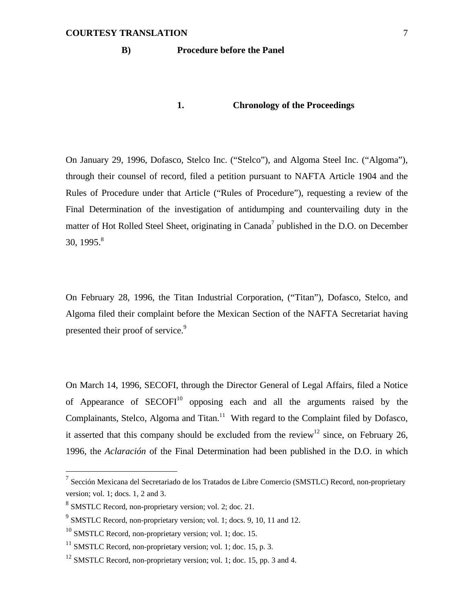### **B) Procedure before the Panel**

# **1. Chronology of the Proceedings**

On January 29, 1996, Dofasco, Stelco Inc. ("Stelco"), and Algoma Steel Inc. ("Algoma"), through their counsel of record, filed a petition pursuant to NAFTA Article 1904 and the Rules of Procedure under that Article ("Rules of Procedure"), requesting a review of the Final Determination of the investigation of antidumping and countervailing duty in the matter of Hot Rolled Steel Sheet, originating in Canada<sup>7</sup> published in the D.O. on December 30, 1995. $8$ 

On February 28, 1996, the Titan Industrial Corporation, ("Titan"), Dofasco, Stelco, and Algoma filed their complaint before the Mexican Section of the NAFTA Secretariat having presented their proof of service.<sup>9</sup>

On March 14, 1996, SECOFI, through the Director General of Legal Affairs, filed a Notice of Appearance of  $SECOFI<sup>10</sup>$  opposing each and all the arguments raised by the Complainants, Stelco, Algoma and Titan.<sup>11</sup> With regard to the Complaint filed by Dofasco, it asserted that this company should be excluded from the review<sup>12</sup> since, on February 26, 1996, the *Aclaración* of the Final Determination had been published in the D.O. in which

<sup>&</sup>lt;sup>7</sup> Sección Mexicana del Secretariado de los Tratados de Libre Comercio (SMSTLC) Record, non-proprietary version; vol. 1; docs. 1, 2 and 3.

<sup>&</sup>lt;sup>8</sup> SMSTLC Record, non-proprietary version; vol. 2; doc. 21.

<sup>&</sup>lt;sup>9</sup> SMSTLC Record, non-proprietary version; vol. 1; docs. 9, 10, 11 and 12.

 $10$  SMSTLC Record, non-proprietary version; vol. 1; doc. 15.

 $11$  SMSTLC Record, non-proprietary version; vol. 1; doc. 15, p. 3.

 $12$  SMSTLC Record, non-proprietary version; vol. 1; doc. 15, pp. 3 and 4.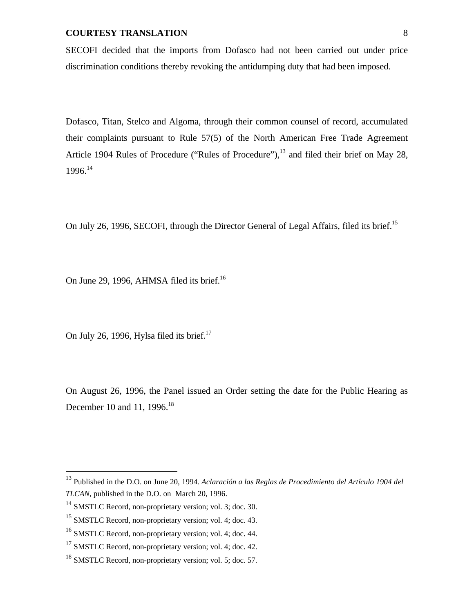SECOFI decided that the imports from Dofasco had not been carried out under price discrimination conditions thereby revoking the antidumping duty that had been imposed.

Dofasco, Titan, Stelco and Algoma, through their common counsel of record, accumulated their complaints pursuant to Rule 57(5) of the North American Free Trade Agreement Article 1904 Rules of Procedure ("Rules of Procedure"),<sup>13</sup> and filed their brief on May 28,  $1996.<sup>14</sup>$ 

On July 26, 1996, SECOFI, through the Director General of Legal Affairs, filed its brief.<sup>15</sup>

On June 29, 1996, AHMSA filed its brief.<sup>16</sup>

On July 26, 1996, Hylsa filed its brief.<sup>17</sup>

<u>.</u>

On August 26, 1996, the Panel issued an Order setting the date for the Public Hearing as December 10 and 11, 1996.<sup>18</sup>

<sup>13</sup> Published in the D.O. on June 20, 1994. *Aclaración a las Reglas de Procedimiento del Artículo 1904 del TLCAN*, published in the D.O. on March 20, 1996.

<sup>&</sup>lt;sup>14</sup> SMSTLC Record, non-proprietary version; vol. 3; doc. 30.

<sup>&</sup>lt;sup>15</sup> SMSTLC Record, non-proprietary version; vol. 4; doc. 43.

<sup>16</sup> SMSTLC Record, non-proprietary version; vol. 4; doc. 44.

 $17$  SMSTLC Record, non-proprietary version; vol. 4; doc. 42.

<sup>18</sup> SMSTLC Record, non-proprietary version; vol. 5; doc. 57.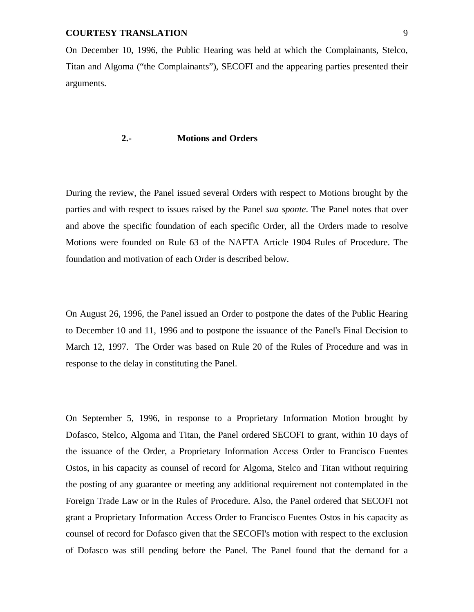On December 10, 1996, the Public Hearing was held at which the Complainants, Stelco, Titan and Algoma ("the Complainants"), SECOFI and the appearing parties presented their arguments.

## **2.- Motions and Orders**

During the review, the Panel issued several Orders with respect to Motions brought by the parties and with respect to issues raised by the Panel *sua sponte*. The Panel notes that over and above the specific foundation of each specific Order, all the Orders made to resolve Motions were founded on Rule 63 of the NAFTA Article 1904 Rules of Procedure. The foundation and motivation of each Order is described below.

On August 26, 1996, the Panel issued an Order to postpone the dates of the Public Hearing to December 10 and 11, 1996 and to postpone the issuance of the Panel's Final Decision to March 12, 1997. The Order was based on Rule 20 of the Rules of Procedure and was in response to the delay in constituting the Panel.

On September 5, 1996, in response to a Proprietary Information Motion brought by Dofasco, Stelco, Algoma and Titan, the Panel ordered SECOFI to grant, within 10 days of the issuance of the Order, a Proprietary Information Access Order to Francisco Fuentes Ostos, in his capacity as counsel of record for Algoma, Stelco and Titan without requiring the posting of any guarantee or meeting any additional requirement not contemplated in the Foreign Trade Law or in the Rules of Procedure. Also, the Panel ordered that SECOFI not grant a Proprietary Information Access Order to Francisco Fuentes Ostos in his capacity as counsel of record for Dofasco given that the SECOFI's motion with respect to the exclusion of Dofasco was still pending before the Panel. The Panel found that the demand for a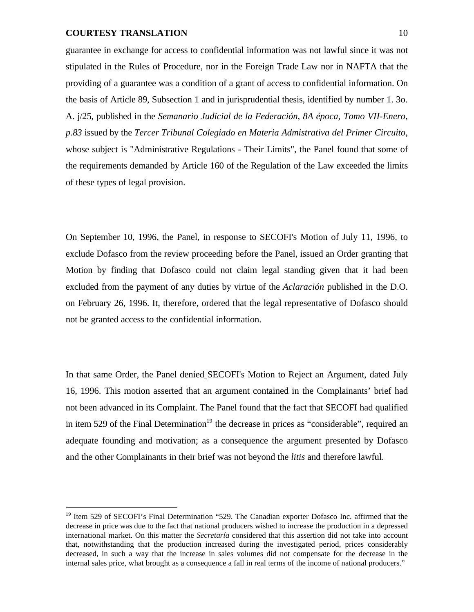<u>.</u>

guarantee in exchange for access to confidential information was not lawful since it was not stipulated in the Rules of Procedure, nor in the Foreign Trade Law nor in NAFTA that the providing of a guarantee was a condition of a grant of access to confidential information. On the basis of Article 89, Subsection 1 and in jurisprudential thesis, identified by number 1. 3o. A. j/25, published in the *Semanario Judicial de la Federación, 8A época, Tomo VII-Enero, p.83* issued by the *Tercer Tribunal Colegiado en Materia Admistrativa del Primer Circuito*, whose subject is "Administrative Regulations - Their Limits", the Panel found that some of the requirements demanded by Article 160 of the Regulation of the Law exceeded the limits of these types of legal provision.

On September 10, 1996, the Panel, in response to SECOFI's Motion of July 11, 1996, to exclude Dofasco from the review proceeding before the Panel, issued an Order granting that Motion by finding that Dofasco could not claim legal standing given that it had been excluded from the payment of any duties by virtue of the *Aclaración* published in the D.O. on February 26, 1996. It, therefore, ordered that the legal representative of Dofasco should not be granted access to the confidential information.

In that same Order, the Panel denied SECOFI's Motion to Reject an Argument, dated July 16, 1996. This motion asserted that an argument contained in the Complainants' brief had not been advanced in its Complaint. The Panel found that the fact that SECOFI had qualified in item 529 of the Final Determination<sup>19</sup> the decrease in prices as "considerable", required an adequate founding and motivation; as a consequence the argument presented by Dofasco and the other Complainants in their brief was not beyond the *litis* and therefore lawful.

<sup>&</sup>lt;sup>19</sup> Item 529 of SECOFI's Final Determination "529. The Canadian exporter Dofasco Inc. affirmed that the decrease in price was due to the fact that national producers wished to increase the production in a depressed international market. On this matter the *Secretaría* considered that this assertion did not take into account that, notwithstanding that the production increased during the investigated period, prices considerably decreased, in such a way that the increase in sales volumes did not compensate for the decrease in the internal sales price, what brought as a consequence a fall in real terms of the income of national producers."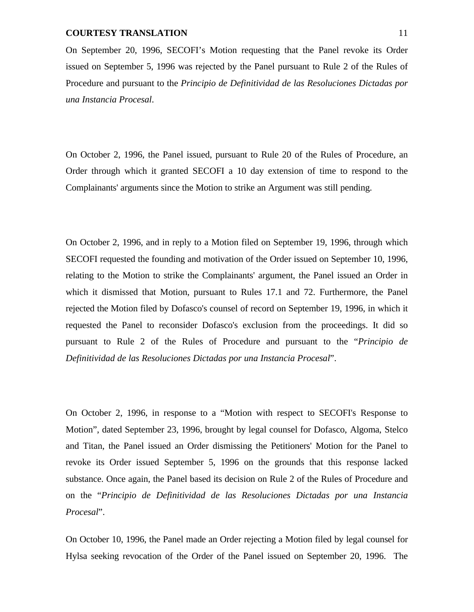On September 20, 1996, SECOFI's Motion requesting that the Panel revoke its Order issued on September 5, 1996 was rejected by the Panel pursuant to Rule 2 of the Rules of Procedure and pursuant to the *Principio de Definitividad de las Resoluciones Dictadas por una Instancia Procesal*.

On October 2, 1996, the Panel issued, pursuant to Rule 20 of the Rules of Procedure, an Order through which it granted SECOFI a 10 day extension of time to respond to the Complainants' arguments since the Motion to strike an Argument was still pending.

On October 2, 1996, and in reply to a Motion filed on September 19, 1996, through which SECOFI requested the founding and motivation of the Order issued on September 10, 1996, relating to the Motion to strike the Complainants' argument, the Panel issued an Order in which it dismissed that Motion, pursuant to Rules 17.1 and 72. Furthermore, the Panel rejected the Motion filed by Dofasco's counsel of record on September 19, 1996, in which it requested the Panel to reconsider Dofasco's exclusion from the proceedings. It did so pursuant to Rule 2 of the Rules of Procedure and pursuant to the "*Principio de Definitividad de las Resoluciones Dictadas por una Instancia Procesal*".

On October 2, 1996, in response to a "Motion with respect to SECOFI's Response to Motion", dated September 23, 1996, brought by legal counsel for Dofasco, Algoma, Stelco and Titan, the Panel issued an Order dismissing the Petitioners' Motion for the Panel to revoke its Order issued September 5, 1996 on the grounds that this response lacked substance. Once again, the Panel based its decision on Rule 2 of the Rules of Procedure and on the "*Principio de Definitividad de las Resoluciones Dictadas por una Instancia Procesal*".

On October 10, 1996, the Panel made an Order rejecting a Motion filed by legal counsel for Hylsa seeking revocation of the Order of the Panel issued on September 20, 1996. The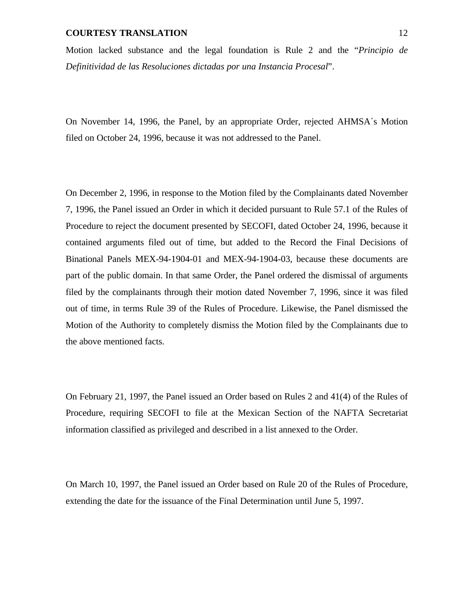Motion lacked substance and the legal foundation is Rule 2 and the "*Principio de Definitividad de las Resoluciones dictadas por una Instancia Procesal*".

On November 14, 1996, the Panel, by an appropriate Order, rejected AHMSA´s Motion filed on October 24, 1996, because it was not addressed to the Panel.

On December 2, 1996, in response to the Motion filed by the Complainants dated November 7, 1996, the Panel issued an Order in which it decided pursuant to Rule 57.1 of the Rules of Procedure to reject the document presented by SECOFI, dated October 24, 1996, because it contained arguments filed out of time, but added to the Record the Final Decisions of Binational Panels MEX-94-1904-01 and MEX-94-1904-03, because these documents are part of the public domain. In that same Order, the Panel ordered the dismissal of arguments filed by the complainants through their motion dated November 7, 1996, since it was filed out of time, in terms Rule 39 of the Rules of Procedure. Likewise, the Panel dismissed the Motion of the Authority to completely dismiss the Motion filed by the Complainants due to the above mentioned facts.

On February 21, 1997, the Panel issued an Order based on Rules 2 and 41(4) of the Rules of Procedure, requiring SECOFI to file at the Mexican Section of the NAFTA Secretariat information classified as privileged and described in a list annexed to the Order.

On March 10, 1997, the Panel issued an Order based on Rule 20 of the Rules of Procedure, extending the date for the issuance of the Final Determination until June 5, 1997.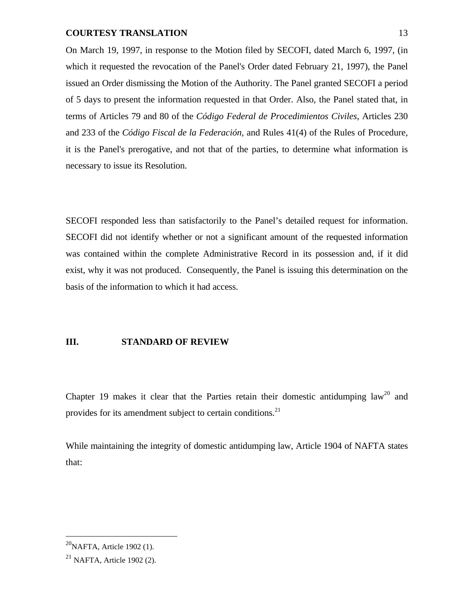On March 19, 1997, in response to the Motion filed by SECOFI, dated March 6, 1997, (in which it requested the revocation of the Panel's Order dated February 21, 1997), the Panel issued an Order dismissing the Motion of the Authority. The Panel granted SECOFI a period of 5 days to present the information requested in that Order. Also, the Panel stated that, in terms of Articles 79 and 80 of the *Código Federal de Procedimientos Civiles*, Articles 230 and 233 of the *Código Fiscal de la Federación*, and Rules 41(4) of the Rules of Procedure, it is the Panel's prerogative, and not that of the parties, to determine what information is necessary to issue its Resolution.

SECOFI responded less than satisfactorily to the Panel's detailed request for information. SECOFI did not identify whether or not a significant amount of the requested information was contained within the complete Administrative Record in its possession and, if it did exist, why it was not produced. Consequently, the Panel is issuing this determination on the basis of the information to which it had access.

# **III. STANDARD OF REVIEW**

Chapter 19 makes it clear that the Parties retain their domestic antidumping  $law^{20}$  and provides for its amendment subject to certain conditions.<sup>21</sup>

While maintaining the integrity of domestic antidumping law, Article 1904 of NAFTA states that:

 $^{20}$ NAFTA, Article 1902 (1).

 $21$  NAFTA, Article 1902 (2).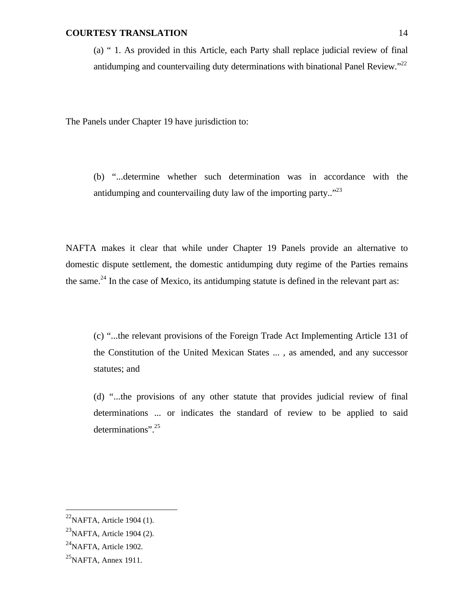(a) " 1. As provided in this Article, each Party shall replace judicial review of final antidumping and countervailing duty determinations with binational Panel Review."<sup>22</sup>

The Panels under Chapter 19 have jurisdiction to:

(b) "...determine whether such determination was in accordance with the antidumping and countervailing duty law of the importing party.."<sup>23</sup>

NAFTA makes it clear that while under Chapter 19 Panels provide an alternative to domestic dispute settlement, the domestic antidumping duty regime of the Parties remains the same.<sup>24</sup> In the case of Mexico, its antidumping statute is defined in the relevant part as:

(c) "...the relevant provisions of the Foreign Trade Act Implementing Article 131 of the Constitution of the United Mexican States ... , as amended, and any successor statutes; and

(d) "...the provisions of any other statute that provides judicial review of final determinations ... or indicates the standard of review to be applied to said determinations".<sup>25</sup>

 $^{22}$ NAFTA, Article 1904 (1).

 $^{23}$ NAFTA, Article 1904 (2).

<sup>&</sup>lt;sup>24</sup>NAFTA, Article 1902.

 $^{25}$ NAFTA, Annex 1911.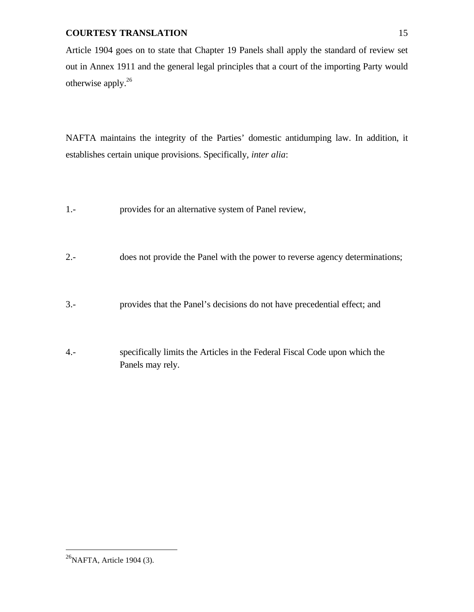Article 1904 goes on to state that Chapter 19 Panels shall apply the standard of review set out in Annex 1911 and the general legal principles that a court of the importing Party would otherwise apply.<sup>26</sup>

NAFTA maintains the integrity of the Parties' domestic antidumping law. In addition, it establishes certain unique provisions. Specifically, *inter alia*:

- 1.- provides for an alternative system of Panel review,
- 2.- does not provide the Panel with the power to reverse agency determinations;
- 3.- provides that the Panel's decisions do not have precedential effect; and
- 4.- specifically limits the Articles in the Federal Fiscal Code upon which the Panels may rely.

 $^{26}$ NAFTA, Article 1904 (3).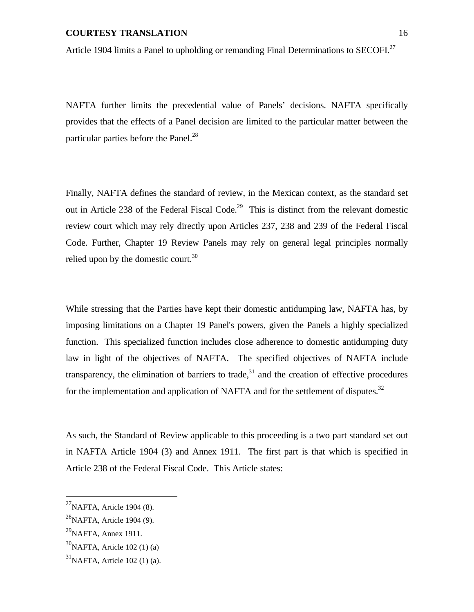Article 1904 limits a Panel to upholding or remanding Final Determinations to SECOFI.<sup>27</sup>

NAFTA further limits the precedential value of Panels' decisions. NAFTA specifically provides that the effects of a Panel decision are limited to the particular matter between the particular parties before the Panel. $^{28}$ 

Finally, NAFTA defines the standard of review, in the Mexican context, as the standard set out in Article 238 of the Federal Fiscal Code.<sup>29</sup> This is distinct from the relevant domestic review court which may rely directly upon Articles 237, 238 and 239 of the Federal Fiscal Code. Further, Chapter 19 Review Panels may rely on general legal principles normally relied upon by the domestic court.<sup>30</sup>

While stressing that the Parties have kept their domestic antidumping law, NAFTA has, by imposing limitations on a Chapter 19 Panel's powers, given the Panels a highly specialized function. This specialized function includes close adherence to domestic antidumping duty law in light of the objectives of NAFTA. The specified objectives of NAFTA include transparency, the elimination of barriers to trade, $31$  and the creation of effective procedures for the implementation and application of NAFTA and for the settlement of disputes.<sup>32</sup>

As such, the Standard of Review applicable to this proceeding is a two part standard set out in NAFTA Article 1904 (3) and Annex 1911. The first part is that which is specified in Article 238 of the Federal Fiscal Code. This Article states:

-

 $^{27}$ NAFTA, Article 1904 (8).

 $28$ NAFTA, Article 1904 (9).

 $^{29}$ NAFTA, Annex 1911.

 $30$ NAFTA, Article 102 (1) (a)

 $31$ NAFTA, Article 102 (1) (a).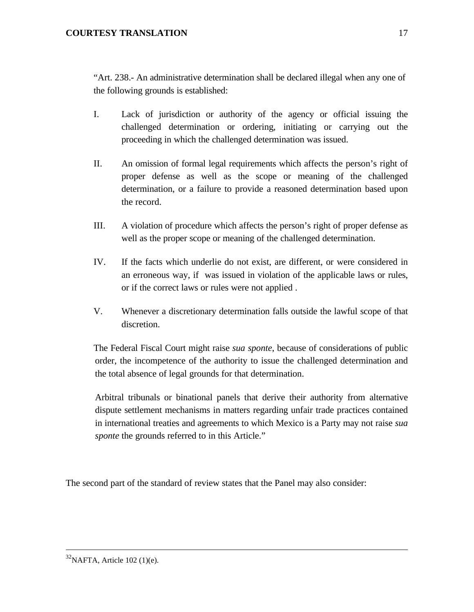"Art. 238.- An administrative determination shall be declared illegal when any one of the following grounds is established:

- I. Lack of jurisdiction or authority of the agency or official issuing the challenged determination or ordering, initiating or carrying out the proceeding in which the challenged determination was issued.
- II. An omission of formal legal requirements which affects the person's right of proper defense as well as the scope or meaning of the challenged determination, or a failure to provide a reasoned determination based upon the record.
- III. A violation of procedure which affects the person's right of proper defense as well as the proper scope or meaning of the challenged determination.
- IV. If the facts which underlie do not exist, are different, or were considered in an erroneous way, if was issued in violation of the applicable laws or rules, or if the correct laws or rules were not applied .
- V. Whenever a discretionary determination falls outside the lawful scope of that discretion.

The Federal Fiscal Court might raise *sua sponte*, because of considerations of public order, the incompetence of the authority to issue the challenged determination and the total absence of legal grounds for that determination.

Arbitral tribunals or binational panels that derive their authority from alternative dispute settlement mechanisms in matters regarding unfair trade practices contained in international treaties and agreements to which Mexico is a Party may not raise *sua sponte* the grounds referred to in this Article."

The second part of the standard of review states that the Panel may also consider:

 $\overline{a}$ 

 $32$ NAFTA, Article 102 (1)(e).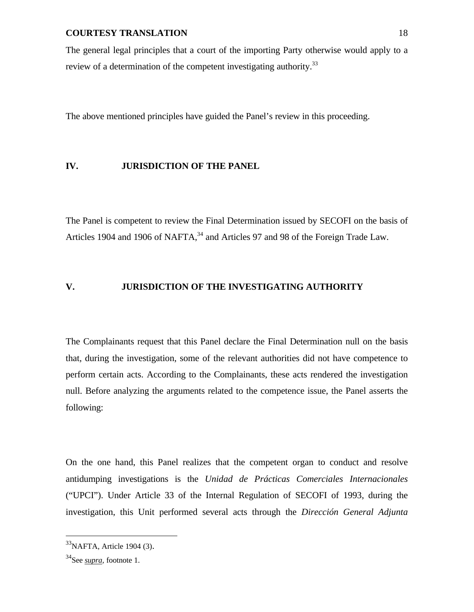The general legal principles that a court of the importing Party otherwise would apply to a review of a determination of the competent investigating authority.<sup>33</sup>

The above mentioned principles have guided the Panel's review in this proceeding.

# **IV. JURISDICTION OF THE PANEL**

The Panel is competent to review the Final Determination issued by SECOFI on the basis of Articles 1904 and 1906 of NAFTA,<sup>34</sup> and Articles 97 and 98 of the Foreign Trade Law.

# **V. JURISDICTION OF THE INVESTIGATING AUTHORITY**

The Complainants request that this Panel declare the Final Determination null on the basis that, during the investigation, some of the relevant authorities did not have competence to perform certain acts. According to the Complainants, these acts rendered the investigation null. Before analyzing the arguments related to the competence issue, the Panel asserts the following:

On the one hand, this Panel realizes that the competent organ to conduct and resolve antidumping investigations is the *Unidad de Prácticas Comerciales Internacionales* ("UPCI"). Under Article 33 of the Internal Regulation of SECOFI of 1993, during the investigation, this Unit performed several acts through the *Dirección General Adjunta*

<sup>&</sup>lt;sup>33</sup>NAFTA, Article 1904 (3).

<sup>34</sup>See *supra,* footnote 1.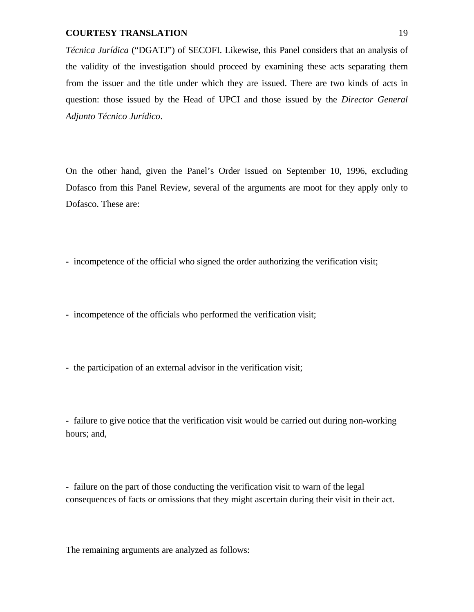*Técnica Jurídica* ("DGATJ") of SECOFI. Likewise, this Panel considers that an analysis of the validity of the investigation should proceed by examining these acts separating them from the issuer and the title under which they are issued. There are two kinds of acts in question: those issued by the Head of UPCI and those issued by the *Director General Adjunto Técnico Jurídico*.

On the other hand, given the Panel's Order issued on September 10, 1996, excluding Dofasco from this Panel Review, several of the arguments are moot for they apply only to Dofasco. These are:

- **-** incompetence of the official who signed the order authorizing the verification visit;
- **-** incompetence of the officials who performed the verification visit;
- **-** the participation of an external advisor in the verification visit;

**-** failure to give notice that the verification visit would be carried out during non-working hours; and,

**-** failure on the part of those conducting the verification visit to warn of the legal consequences of facts or omissions that they might ascertain during their visit in their act.

The remaining arguments are analyzed as follows: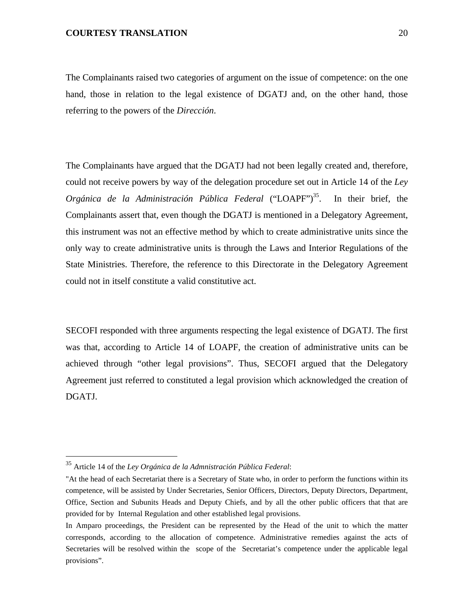The Complainants raised two categories of argument on the issue of competence: on the one hand, those in relation to the legal existence of DGATJ and, on the other hand, those referring to the powers of the *Dirección*.

The Complainants have argued that the DGATJ had not been legally created and, therefore, could not receive powers by way of the delegation procedure set out in Article 14 of the *Ley Orgánica de la Administración Pública Federal* ("LOAPF")<sup>35</sup>. In their brief, the Complainants assert that, even though the DGATJ is mentioned in a Delegatory Agreement, this instrument was not an effective method by which to create administrative units since the only way to create administrative units is through the Laws and Interior Regulations of the State Ministries. Therefore, the reference to this Directorate in the Delegatory Agreement could not in itself constitute a valid constitutive act.

SECOFI responded with three arguments respecting the legal existence of DGATJ. The first was that, according to Article 14 of LOAPF, the creation of administrative units can be achieved through "other legal provisions". Thus, SECOFI argued that the Delegatory Agreement just referred to constituted a legal provision which acknowledged the creation of DGATJ.

-

<sup>35</sup> Article 14 of the *Ley Orgánica de la Admnistración Pública Federal*:

<sup>&</sup>quot;At the head of each Secretariat there is a Secretary of State who, in order to perform the functions within its competence, will be assisted by Under Secretaries, Senior Officers, Directors, Deputy Directors, Department, Office, Section and Subunits Heads and Deputy Chiefs, and by all the other public officers that that are provided for by Internal Regulation and other established legal provisions.

In Amparo proceedings, the President can be represented by the Head of the unit to which the matter corresponds, according to the allocation of competence. Administrative remedies against the acts of Secretaries will be resolved within the scope of the Secretariat's competence under the applicable legal provisions".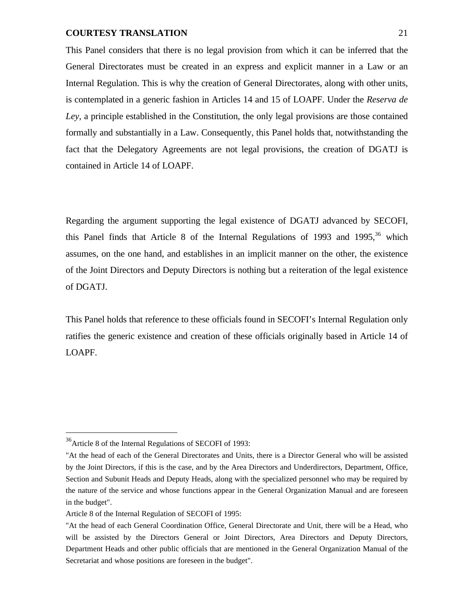This Panel considers that there is no legal provision from which it can be inferred that the General Directorates must be created in an express and explicit manner in a Law or an Internal Regulation. This is why the creation of General Directorates, along with other units, is contemplated in a generic fashion in Articles 14 and 15 of LOAPF. Under the *Reserva de Ley*, a principle established in the Constitution, the only legal provisions are those contained formally and substantially in a Law. Consequently, this Panel holds that, notwithstanding the fact that the Delegatory Agreements are not legal provisions, the creation of DGATJ is contained in Article 14 of LOAPF.

Regarding the argument supporting the legal existence of DGATJ advanced by SECOFI, this Panel finds that Article 8 of the Internal Regulations of 1993 and 1995, $36$  which assumes, on the one hand, and establishes in an implicit manner on the other, the existence of the Joint Directors and Deputy Directors is nothing but a reiteration of the legal existence of DGATJ.

This Panel holds that reference to these officials found in SECOFI's Internal Regulation only ratifies the generic existence and creation of these officials originally based in Article 14 of LOAPF.

<sup>36</sup>Article 8 of the Internal Regulations of SECOFI of 1993:

<sup>&</sup>quot;At the head of each of the General Directorates and Units, there is a Director General who will be assisted by the Joint Directors, if this is the case, and by the Area Directors and Underdirectors, Department, Office, Section and Subunit Heads and Deputy Heads, along with the specialized personnel who may be required by the nature of the service and whose functions appear in the General Organization Manual and are foreseen in the budget".

Article 8 of the Internal Regulation of SECOFI of 1995:

<sup>&</sup>quot;At the head of each General Coordination Office, General Directorate and Unit, there will be a Head, who will be assisted by the Directors General or Joint Directors, Area Directors and Deputy Directors, Department Heads and other public officials that are mentioned in the General Organization Manual of the Secretariat and whose positions are foreseen in the budget".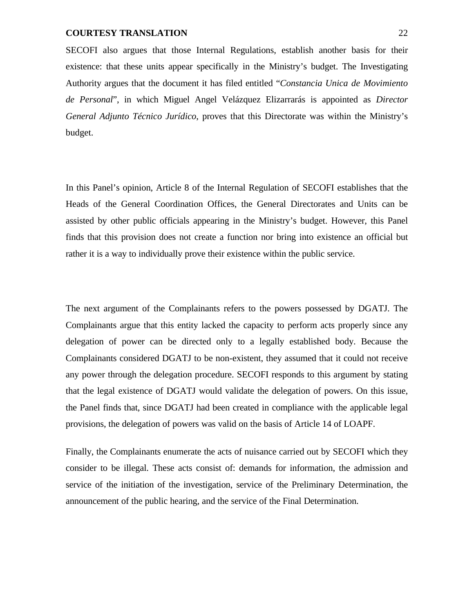SECOFI also argues that those Internal Regulations, establish another basis for their existence: that these units appear specifically in the Ministry's budget. The Investigating Authority argues that the document it has filed entitled "*Constancia Unica de Movimiento de Personal*", in which Miguel Angel Velázquez Elizarrarás is appointed as *Director General Adjunto Técnico Jurídico*, proves that this Directorate was within the Ministry's budget.

In this Panel's opinion, Article 8 of the Internal Regulation of SECOFI establishes that the Heads of the General Coordination Offices, the General Directorates and Units can be assisted by other public officials appearing in the Ministry's budget. However, this Panel finds that this provision does not create a function nor bring into existence an official but rather it is a way to individually prove their existence within the public service.

The next argument of the Complainants refers to the powers possessed by DGATJ. The Complainants argue that this entity lacked the capacity to perform acts properly since any delegation of power can be directed only to a legally established body. Because the Complainants considered DGATJ to be non-existent, they assumed that it could not receive any power through the delegation procedure. SECOFI responds to this argument by stating that the legal existence of DGATJ would validate the delegation of powers. On this issue, the Panel finds that, since DGATJ had been created in compliance with the applicable legal provisions, the delegation of powers was valid on the basis of Article 14 of LOAPF.

Finally, the Complainants enumerate the acts of nuisance carried out by SECOFI which they consider to be illegal. These acts consist of: demands for information, the admission and service of the initiation of the investigation, service of the Preliminary Determination, the announcement of the public hearing, and the service of the Final Determination.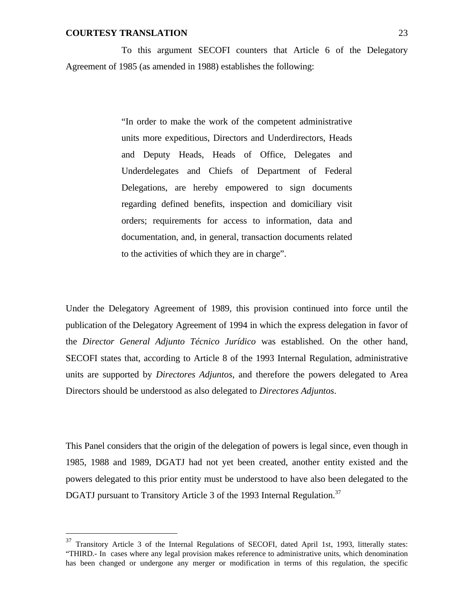-

To this argument SECOFI counters that Article 6 of the Delegatory Agreement of 1985 (as amended in 1988) establishes the following:

> "In order to make the work of the competent administrative units more expeditious, Directors and Underdirectors, Heads and Deputy Heads, Heads of Office, Delegates and Underdelegates and Chiefs of Department of Federal Delegations, are hereby empowered to sign documents regarding defined benefits, inspection and domiciliary visit orders; requirements for access to information, data and documentation, and, in general, transaction documents related to the activities of which they are in charge".

Under the Delegatory Agreement of 1989, this provision continued into force until the publication of the Delegatory Agreement of 1994 in which the express delegation in favor of the *Director General Adjunto Técnico Jurídico* was established. On the other hand, SECOFI states that, according to Article 8 of the 1993 Internal Regulation, administrative units are supported by *Directores Adjuntos*, and therefore the powers delegated to Area Directors should be understood as also delegated to *Directores Adjuntos*.

This Panel considers that the origin of the delegation of powers is legal since, even though in 1985, 1988 and 1989, DGATJ had not yet been created, another entity existed and the powers delegated to this prior entity must be understood to have also been delegated to the DGATJ pursuant to Transitory Article 3 of the 1993 Internal Regulation.<sup>37</sup>

<sup>&</sup>lt;sup>37</sup> Transitory Article 3 of the Internal Regulations of SECOFI, dated April 1st, 1993, litterally states: "THIRD.- In cases where any legal provision makes reference to administrative units, which denomination has been changed or undergone any merger or modification in terms of this regulation, the specific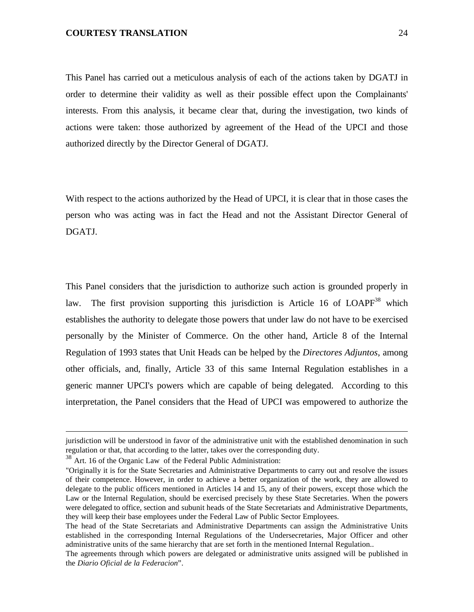This Panel has carried out a meticulous analysis of each of the actions taken by DGATJ in order to determine their validity as well as their possible effect upon the Complainants' interests. From this analysis, it became clear that, during the investigation, two kinds of actions were taken: those authorized by agreement of the Head of the UPCI and those authorized directly by the Director General of DGATJ.

With respect to the actions authorized by the Head of UPCI, it is clear that in those cases the person who was acting was in fact the Head and not the Assistant Director General of DGATJ.

This Panel considers that the jurisdiction to authorize such action is grounded properly in law. The first provision supporting this jurisdiction is Article 16 of  $LOAPF<sup>38</sup>$  which establishes the authority to delegate those powers that under law do not have to be exercised personally by the Minister of Commerce. On the other hand, Article 8 of the Internal Regulation of 1993 states that Unit Heads can be helped by the *Directores Adjuntos*, among other officials, and, finally, Article 33 of this same Internal Regulation establishes in a generic manner UPCI's powers which are capable of being delegated. According to this interpretation, the Panel considers that the Head of UPCI was empowered to authorize the

 $\overline{a}$ 

jurisdiction will be understood in favor of the administrative unit with the established denomination in such regulation or that, that according to the latter, takes over the corresponding duty.

<sup>38</sup> Art. 16 of the Organic Law of the Federal Public Administration:

<sup>&</sup>quot;Originally it is for the State Secretaries and Administrative Departments to carry out and resolve the issues of their competence. However, in order to achieve a better organization of the work, they are allowed to delegate to the public officers mentioned in Articles 14 and 15, any of their powers, except those which the Law or the Internal Regulation, should be exercised precisely by these State Secretaries. When the powers were delegated to office, section and subunit heads of the State Secretariats and Administrative Departments, they will keep their base employees under the Federal Law of Public Sector Employees.

The head of the State Secretariats and Administrative Departments can assign the Administrative Units established in the corresponding Internal Regulations of the Undersecretaries, Major Officer and other administrative units of the same hierarchy that are set forth in the mentioned Internal Regulation..

The agreements through which powers are delegated or administrative units assigned will be published in the *Diario Oficial de la Federacion*".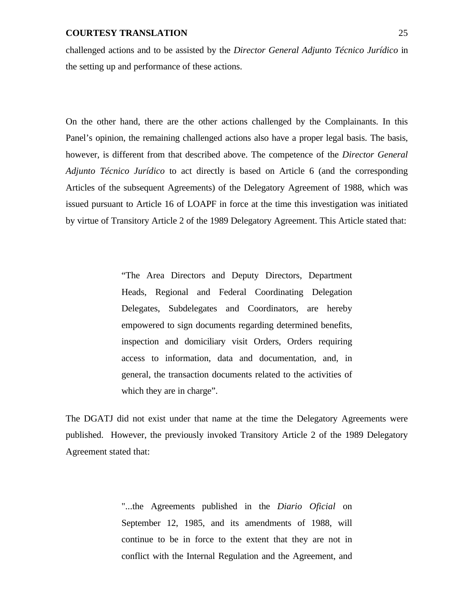challenged actions and to be assisted by the *Director General Adjunto Técnico Jurídico* in the setting up and performance of these actions.

On the other hand, there are the other actions challenged by the Complainants. In this Panel's opinion, the remaining challenged actions also have a proper legal basis. The basis, however, is different from that described above. The competence of the *Director General Adjunto Técnico Jurídico* to act directly is based on Article 6 (and the corresponding Articles of the subsequent Agreements) of the Delegatory Agreement of 1988, which was issued pursuant to Article 16 of LOAPF in force at the time this investigation was initiated by virtue of Transitory Article 2 of the 1989 Delegatory Agreement. This Article stated that:

> "The Area Directors and Deputy Directors, Department Heads, Regional and Federal Coordinating Delegation Delegates, Subdelegates and Coordinators, are hereby empowered to sign documents regarding determined benefits, inspection and domiciliary visit Orders, Orders requiring access to information, data and documentation, and, in general, the transaction documents related to the activities of which they are in charge".

The DGATJ did not exist under that name at the time the Delegatory Agreements were published. However, the previously invoked Transitory Article 2 of the 1989 Delegatory Agreement stated that:

> "...the Agreements published in the *Diario Oficial* on September 12, 1985, and its amendments of 1988, will continue to be in force to the extent that they are not in conflict with the Internal Regulation and the Agreement, and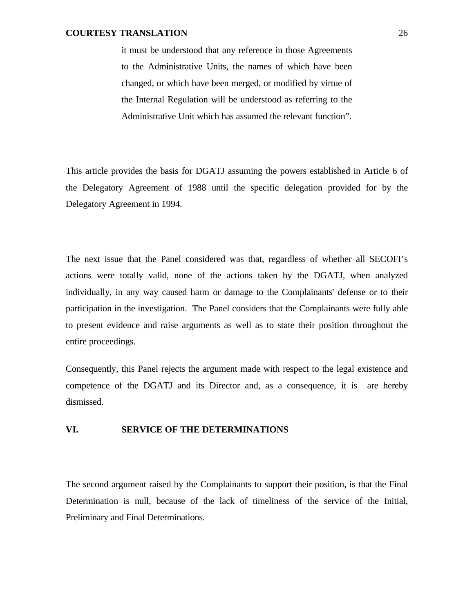it must be understood that any reference in those Agreements to the Administrative Units, the names of which have been changed, or which have been merged, or modified by virtue of the Internal Regulation will be understood as referring to the Administrative Unit which has assumed the relevant function".

This article provides the basis for DGATJ assuming the powers established in Article 6 of the Delegatory Agreement of 1988 until the specific delegation provided for by the Delegatory Agreement in 1994.

The next issue that the Panel considered was that, regardless of whether all SECOFI's actions were totally valid, none of the actions taken by the DGATJ, when analyzed individually, in any way caused harm or damage to the Complainants' defense or to their participation in the investigation. The Panel considers that the Complainants were fully able to present evidence and raise arguments as well as to state their position throughout the entire proceedings.

Consequently, this Panel rejects the argument made with respect to the legal existence and competence of the DGATJ and its Director and, as a consequence, it is are hereby dismissed.

# **VI. SERVICE OF THE DETERMINATIONS**

The second argument raised by the Complainants to support their position, is that the Final Determination is null, because of the lack of timeliness of the service of the Initial, Preliminary and Final Determinations.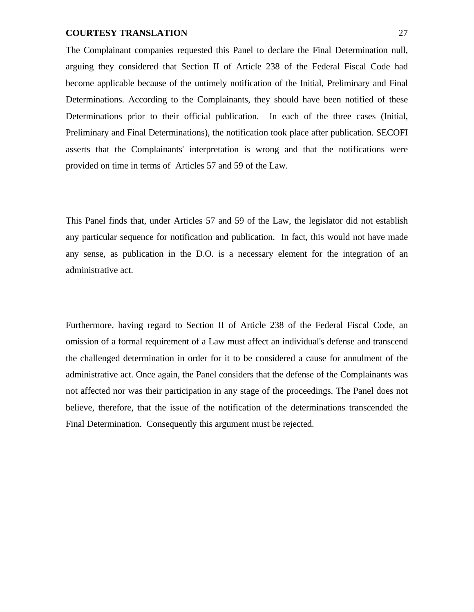The Complainant companies requested this Panel to declare the Final Determination null, arguing they considered that Section II of Article 238 of the Federal Fiscal Code had become applicable because of the untimely notification of the Initial, Preliminary and Final Determinations. According to the Complainants, they should have been notified of these Determinations prior to their official publication. In each of the three cases (Initial, Preliminary and Final Determinations), the notification took place after publication. SECOFI asserts that the Complainants' interpretation is wrong and that the notifications were provided on time in terms of Articles 57 and 59 of the Law.

This Panel finds that, under Articles 57 and 59 of the Law, the legislator did not establish any particular sequence for notification and publication. In fact, this would not have made any sense, as publication in the D.O. is a necessary element for the integration of an administrative act.

Furthermore, having regard to Section II of Article 238 of the Federal Fiscal Code, an omission of a formal requirement of a Law must affect an individual's defense and transcend the challenged determination in order for it to be considered a cause for annulment of the administrative act. Once again, the Panel considers that the defense of the Complainants was not affected nor was their participation in any stage of the proceedings. The Panel does not believe, therefore, that the issue of the notification of the determinations transcended the Final Determination. Consequently this argument must be rejected.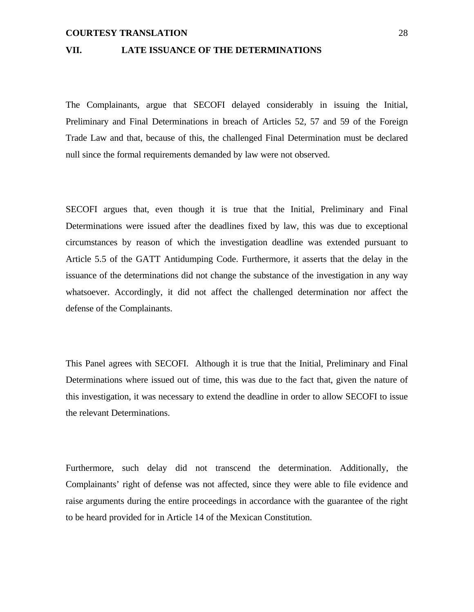## **VII. LATE ISSUANCE OF THE DETERMINATIONS**

The Complainants, argue that SECOFI delayed considerably in issuing the Initial, Preliminary and Final Determinations in breach of Articles 52, 57 and 59 of the Foreign Trade Law and that, because of this, the challenged Final Determination must be declared null since the formal requirements demanded by law were not observed.

SECOFI argues that, even though it is true that the Initial, Preliminary and Final Determinations were issued after the deadlines fixed by law, this was due to exceptional circumstances by reason of which the investigation deadline was extended pursuant to Article 5.5 of the GATT Antidumping Code. Furthermore, it asserts that the delay in the issuance of the determinations did not change the substance of the investigation in any way whatsoever. Accordingly, it did not affect the challenged determination nor affect the defense of the Complainants.

This Panel agrees with SECOFI. Although it is true that the Initial, Preliminary and Final Determinations where issued out of time, this was due to the fact that, given the nature of this investigation, it was necessary to extend the deadline in order to allow SECOFI to issue the relevant Determinations.

Furthermore, such delay did not transcend the determination. Additionally, the Complainants' right of defense was not affected, since they were able to file evidence and raise arguments during the entire proceedings in accordance with the guarantee of the right to be heard provided for in Article 14 of the Mexican Constitution.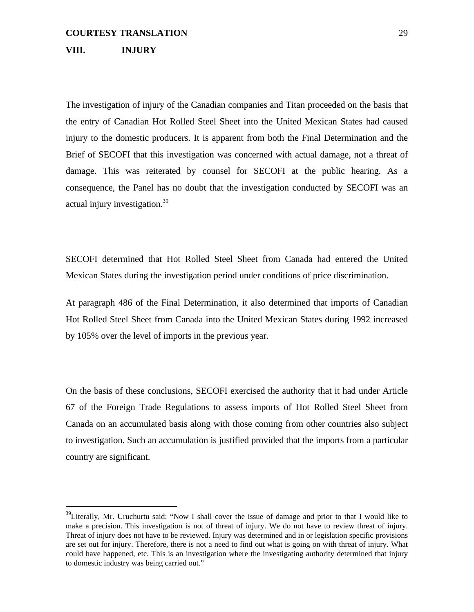#### **VIII. INJURY**

<u>.</u>

The investigation of injury of the Canadian companies and Titan proceeded on the basis that the entry of Canadian Hot Rolled Steel Sheet into the United Mexican States had caused injury to the domestic producers. It is apparent from both the Final Determination and the Brief of SECOFI that this investigation was concerned with actual damage, not a threat of damage. This was reiterated by counsel for SECOFI at the public hearing. As a consequence, the Panel has no doubt that the investigation conducted by SECOFI was an actual injury investigation.<sup>39</sup>

SECOFI determined that Hot Rolled Steel Sheet from Canada had entered the United Mexican States during the investigation period under conditions of price discrimination.

At paragraph 486 of the Final Determination, it also determined that imports of Canadian Hot Rolled Steel Sheet from Canada into the United Mexican States during 1992 increased by 105% over the level of imports in the previous year.

On the basis of these conclusions, SECOFI exercised the authority that it had under Article 67 of the Foreign Trade Regulations to assess imports of Hot Rolled Steel Sheet from Canada on an accumulated basis along with those coming from other countries also subject to investigation. Such an accumulation is justified provided that the imports from a particular country are significant.

<sup>&</sup>lt;sup>39</sup>Literally, Mr. Uruchurtu said: "Now I shall cover the issue of damage and prior to that I would like to make a precision. This investigation is not of threat of injury. We do not have to review threat of injury. Threat of injury does not have to be reviewed. Injury was determined and in or legislation specific provisions are set out for injury. Therefore, there is not a need to find out what is going on with threat of injury. What could have happened, etc. This is an investigation where the investigating authority determined that injury to domestic industry was being carried out."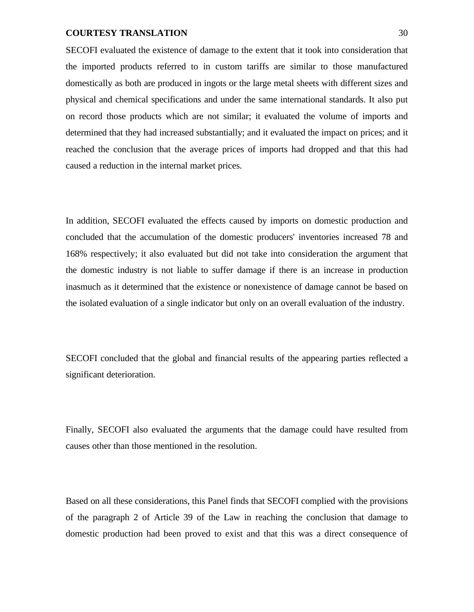SECOFI evaluated the existence of damage to the extent that it took into consideration that the imported products referred to in custom tariffs are similar to those manufactured domestically as both are produced in ingots or the large metal sheets with different sizes and physical and chemical specifications and under the same international standards. It also put on record those products which are not similar; it evaluated the volume of imports and determined that they had increased substantially; and it evaluated the impact on prices; and it reached the conclusion that the average prices of imports had dropped and that this had caused a reduction in the internal market prices.

In addition, SECOFI evaluated the effects caused by imports on domestic production and concluded that the accumulation of the domestic producers' inventories increased 78 and 168% respectively; it also evaluated but did not take into consideration the argument that the domestic industry is not liable to suffer damage if there is an increase in production inasmuch as it determined that the existence or nonexistence of damage cannot be based on the isolated evaluation of a single indicator but only on an overall evaluation of the industry.

SECOFI concluded that the global and financial results of the appearing parties reflected a significant deterioration.

Finally, SECOFI also evaluated the arguments that the damage could have resulted from causes other than those mentioned in the resolution.

Based on all these considerations, this Panel finds that SECOFI complied with the provisions of the paragraph 2 of Article 39 of the Law in reaching the conclusion that damage to domestic production had been proved to exist and that this was a direct consequence of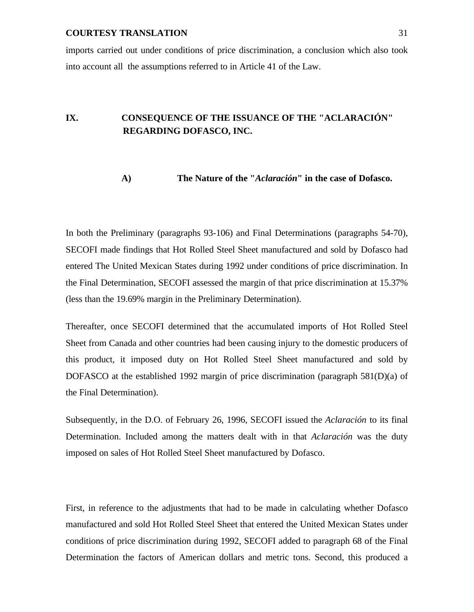imports carried out under conditions of price discrimination, a conclusion which also took into account all the assumptions referred to in Article 41 of the Law.

# **IX. CONSEQUENCE OF THE ISSUANCE OF THE "ACLARACIÓN" REGARDING DOFASCO, INC.**

# **A) The Nature of the "***Aclaración***" in the case of Dofasco.**

In both the Preliminary (paragraphs 93-106) and Final Determinations (paragraphs 54-70), SECOFI made findings that Hot Rolled Steel Sheet manufactured and sold by Dofasco had entered The United Mexican States during 1992 under conditions of price discrimination. In the Final Determination, SECOFI assessed the margin of that price discrimination at 15.37% (less than the 19.69% margin in the Preliminary Determination).

Thereafter, once SECOFI determined that the accumulated imports of Hot Rolled Steel Sheet from Canada and other countries had been causing injury to the domestic producers of this product, it imposed duty on Hot Rolled Steel Sheet manufactured and sold by DOFASCO at the established 1992 margin of price discrimination (paragraph 581(D)(a) of the Final Determination).

Subsequently, in the D.O. of February 26, 1996, SECOFI issued the *Aclaración* to its final Determination. Included among the matters dealt with in that *Aclaración* was the duty imposed on sales of Hot Rolled Steel Sheet manufactured by Dofasco.

First, in reference to the adjustments that had to be made in calculating whether Dofasco manufactured and sold Hot Rolled Steel Sheet that entered the United Mexican States under conditions of price discrimination during 1992, SECOFI added to paragraph 68 of the Final Determination the factors of American dollars and metric tons. Second, this produced a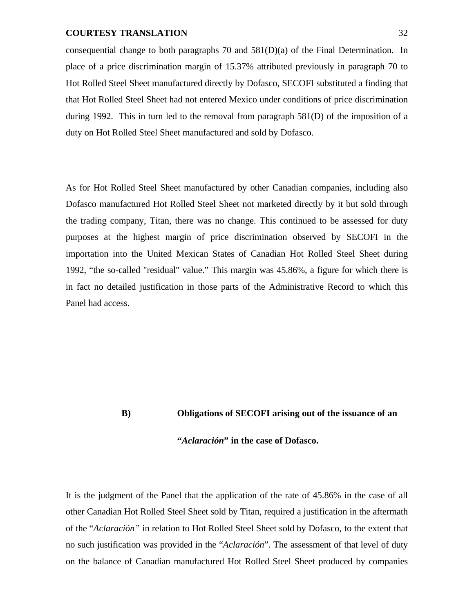consequential change to both paragraphs 70 and  $581(D)(a)$  of the Final Determination. In place of a price discrimination margin of 15.37% attributed previously in paragraph 70 to Hot Rolled Steel Sheet manufactured directly by Dofasco, SECOFI substituted a finding that that Hot Rolled Steel Sheet had not entered Mexico under conditions of price discrimination during 1992. This in turn led to the removal from paragraph 581(D) of the imposition of a duty on Hot Rolled Steel Sheet manufactured and sold by Dofasco.

As for Hot Rolled Steel Sheet manufactured by other Canadian companies, including also Dofasco manufactured Hot Rolled Steel Sheet not marketed directly by it but sold through the trading company, Titan, there was no change. This continued to be assessed for duty purposes at the highest margin of price discrimination observed by SECOFI in the importation into the United Mexican States of Canadian Hot Rolled Steel Sheet during 1992, "the so-called "residual" value." This margin was 45.86%, a figure for which there is in fact no detailed justification in those parts of the Administrative Record to which this Panel had access.

# **B) Obligations of SECOFI arising out of the issuance of an**

# **"***Aclaración***" in the case of Dofasco.**

It is the judgment of the Panel that the application of the rate of 45.86% in the case of all other Canadian Hot Rolled Steel Sheet sold by Titan, required a justification in the aftermath of the "*Aclaración"* in relation to Hot Rolled Steel Sheet sold by Dofasco, to the extent that no such justification was provided in the "*Aclaración*". The assessment of that level of duty on the balance of Canadian manufactured Hot Rolled Steel Sheet produced by companies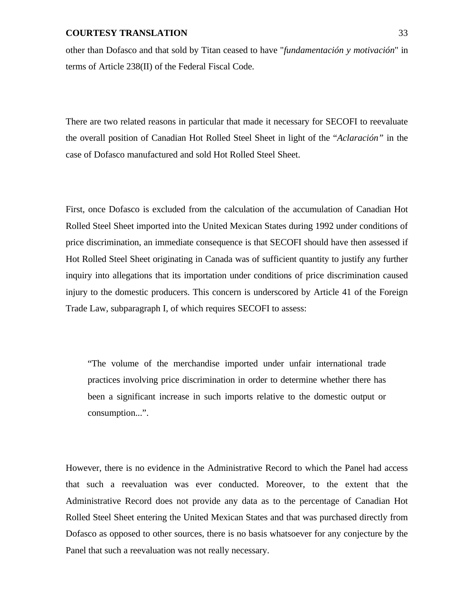other than Dofasco and that sold by Titan ceased to have "*fundamentación y motivación*" in terms of Article 238(II) of the Federal Fiscal Code.

There are two related reasons in particular that made it necessary for SECOFI to reevaluate the overall position of Canadian Hot Rolled Steel Sheet in light of the "*Aclaración"* in the case of Dofasco manufactured and sold Hot Rolled Steel Sheet.

First, once Dofasco is excluded from the calculation of the accumulation of Canadian Hot Rolled Steel Sheet imported into the United Mexican States during 1992 under conditions of price discrimination, an immediate consequence is that SECOFI should have then assessed if Hot Rolled Steel Sheet originating in Canada was of sufficient quantity to justify any further inquiry into allegations that its importation under conditions of price discrimination caused injury to the domestic producers. This concern is underscored by Article 41 of the Foreign Trade Law, subparagraph I, of which requires SECOFI to assess:

"The volume of the merchandise imported under unfair international trade practices involving price discrimination in order to determine whether there has been a significant increase in such imports relative to the domestic output or consumption...".

However, there is no evidence in the Administrative Record to which the Panel had access that such a reevaluation was ever conducted. Moreover, to the extent that the Administrative Record does not provide any data as to the percentage of Canadian Hot Rolled Steel Sheet entering the United Mexican States and that was purchased directly from Dofasco as opposed to other sources, there is no basis whatsoever for any conjecture by the Panel that such a reevaluation was not really necessary.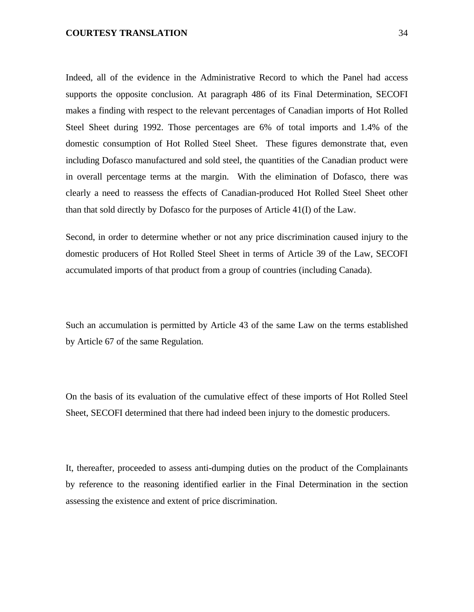Indeed, all of the evidence in the Administrative Record to which the Panel had access supports the opposite conclusion. At paragraph 486 of its Final Determination, SECOFI makes a finding with respect to the relevant percentages of Canadian imports of Hot Rolled Steel Sheet during 1992. Those percentages are 6% of total imports and 1.4% of the domestic consumption of Hot Rolled Steel Sheet. These figures demonstrate that, even including Dofasco manufactured and sold steel, the quantities of the Canadian product were in overall percentage terms at the margin. With the elimination of Dofasco, there was clearly a need to reassess the effects of Canadian-produced Hot Rolled Steel Sheet other than that sold directly by Dofasco for the purposes of Article 41(I) of the Law.

Second, in order to determine whether or not any price discrimination caused injury to the domestic producers of Hot Rolled Steel Sheet in terms of Article 39 of the Law, SECOFI accumulated imports of that product from a group of countries (including Canada).

Such an accumulation is permitted by Article 43 of the same Law on the terms established by Article 67 of the same Regulation.

On the basis of its evaluation of the cumulative effect of these imports of Hot Rolled Steel Sheet, SECOFI determined that there had indeed been injury to the domestic producers.

It, thereafter, proceeded to assess anti-dumping duties on the product of the Complainants by reference to the reasoning identified earlier in the Final Determination in the section assessing the existence and extent of price discrimination.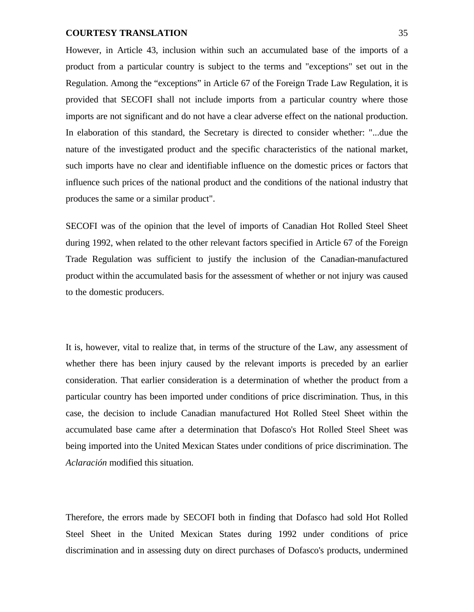However, in Article 43, inclusion within such an accumulated base of the imports of a product from a particular country is subject to the terms and "exceptions" set out in the Regulation. Among the "exceptions" in Article 67 of the Foreign Trade Law Regulation, it is provided that SECOFI shall not include imports from a particular country where those imports are not significant and do not have a clear adverse effect on the national production. In elaboration of this standard, the Secretary is directed to consider whether: "...due the nature of the investigated product and the specific characteristics of the national market, such imports have no clear and identifiable influence on the domestic prices or factors that influence such prices of the national product and the conditions of the national industry that produces the same or a similar product".

SECOFI was of the opinion that the level of imports of Canadian Hot Rolled Steel Sheet during 1992, when related to the other relevant factors specified in Article 67 of the Foreign Trade Regulation was sufficient to justify the inclusion of the Canadian-manufactured product within the accumulated basis for the assessment of whether or not injury was caused to the domestic producers.

It is, however, vital to realize that, in terms of the structure of the Law, any assessment of whether there has been injury caused by the relevant imports is preceded by an earlier consideration. That earlier consideration is a determination of whether the product from a particular country has been imported under conditions of price discrimination. Thus, in this case, the decision to include Canadian manufactured Hot Rolled Steel Sheet within the accumulated base came after a determination that Dofasco's Hot Rolled Steel Sheet was being imported into the United Mexican States under conditions of price discrimination. The *Aclaración* modified this situation.

Therefore, the errors made by SECOFI both in finding that Dofasco had sold Hot Rolled Steel Sheet in the United Mexican States during 1992 under conditions of price discrimination and in assessing duty on direct purchases of Dofasco's products, undermined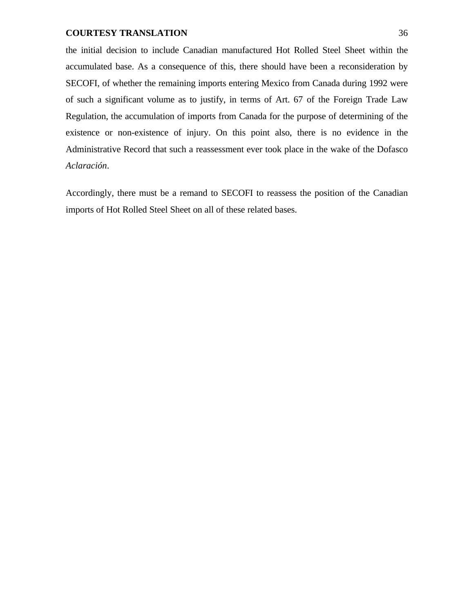the initial decision to include Canadian manufactured Hot Rolled Steel Sheet within the accumulated base. As a consequence of this, there should have been a reconsideration by SECOFI, of whether the remaining imports entering Mexico from Canada during 1992 were of such a significant volume as to justify, in terms of Art. 67 of the Foreign Trade Law Regulation, the accumulation of imports from Canada for the purpose of determining of the existence or non-existence of injury. On this point also, there is no evidence in the Administrative Record that such a reassessment ever took place in the wake of the Dofasco *Aclaración*.

Accordingly, there must be a remand to SECOFI to reassess the position of the Canadian imports of Hot Rolled Steel Sheet on all of these related bases.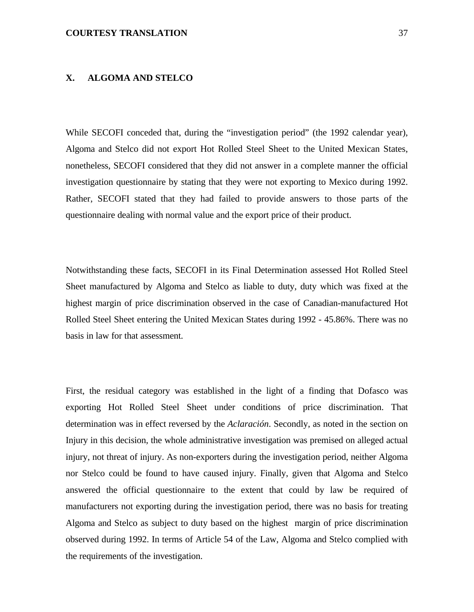# **X. ALGOMA AND STELCO**

While SECOFI conceded that, during the "investigation period" (the 1992 calendar year), Algoma and Stelco did not export Hot Rolled Steel Sheet to the United Mexican States, nonetheless, SECOFI considered that they did not answer in a complete manner the official investigation questionnaire by stating that they were not exporting to Mexico during 1992. Rather, SECOFI stated that they had failed to provide answers to those parts of the questionnaire dealing with normal value and the export price of their product.

Notwithstanding these facts, SECOFI in its Final Determination assessed Hot Rolled Steel Sheet manufactured by Algoma and Stelco as liable to duty, duty which was fixed at the highest margin of price discrimination observed in the case of Canadian-manufactured Hot Rolled Steel Sheet entering the United Mexican States during 1992 - 45.86%. There was no basis in law for that assessment.

First, the residual category was established in the light of a finding that Dofasco was exporting Hot Rolled Steel Sheet under conditions of price discrimination. That determination was in effect reversed by the *Aclaración*. Secondly, as noted in the section on Injury in this decision, the whole administrative investigation was premised on alleged actual injury, not threat of injury. As non-exporters during the investigation period, neither Algoma nor Stelco could be found to have caused injury. Finally, given that Algoma and Stelco answered the official questionnaire to the extent that could by law be required of manufacturers not exporting during the investigation period, there was no basis for treating Algoma and Stelco as subject to duty based on the highest margin of price discrimination observed during 1992. In terms of Article 54 of the Law, Algoma and Stelco complied with the requirements of the investigation.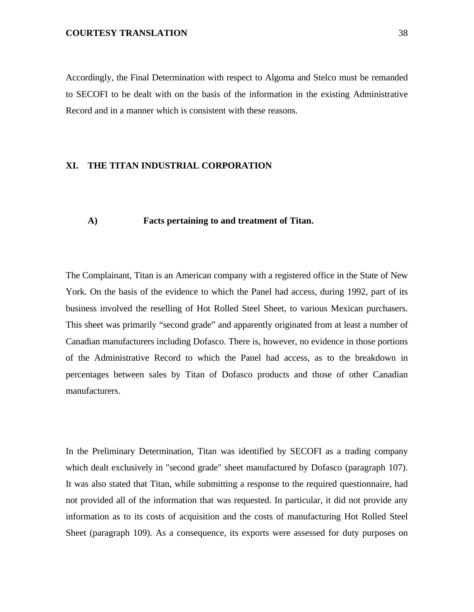Accordingly, the Final Determination with respect to Algoma and Stelco must be remanded to SECOFI to be dealt with on the basis of the information in the existing Administrative Record and in a manner which is consistent with these reasons.

# **XI. THE TITAN INDUSTRIAL CORPORATION**

### **A) Facts pertaining to and treatment of Titan.**

The Complainant, Titan is an American company with a registered office in the State of New York. On the basis of the evidence to which the Panel had access, during 1992, part of its business involved the reselling of Hot Rolled Steel Sheet, to various Mexican purchasers. This sheet was primarily "second grade" and apparently originated from at least a number of Canadian manufacturers including Dofasco. There is, however, no evidence in those portions of the Administrative Record to which the Panel had access, as to the breakdown in percentages between sales by Titan of Dofasco products and those of other Canadian manufacturers.

In the Preliminary Determination, Titan was identified by SECOFI as a trading company which dealt exclusively in "second grade" sheet manufactured by Dofasco (paragraph 107). It was also stated that Titan, while submitting a response to the required questionnaire, had not provided all of the information that was requested. In particular, it did not provide any information as to its costs of acquisition and the costs of manufacturing Hot Rolled Steel Sheet (paragraph 109). As a consequence, its exports were assessed for duty purposes on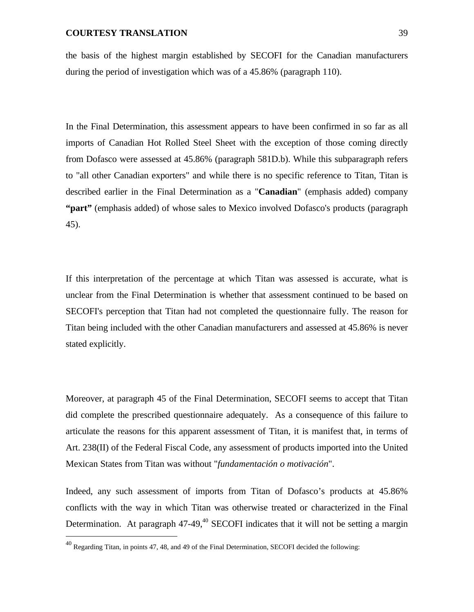the basis of the highest margin established by SECOFI for the Canadian manufacturers during the period of investigation which was of a 45.86% (paragraph 110).

In the Final Determination, this assessment appears to have been confirmed in so far as all imports of Canadian Hot Rolled Steel Sheet with the exception of those coming directly from Dofasco were assessed at 45.86% (paragraph 581D.b). While this subparagraph refers to "all other Canadian exporters" and while there is no specific reference to Titan, Titan is described earlier in the Final Determination as a "**Canadian**" (emphasis added) company **"part"** (emphasis added) of whose sales to Mexico involved Dofasco's products (paragraph 45).

If this interpretation of the percentage at which Titan was assessed is accurate, what is unclear from the Final Determination is whether that assessment continued to be based on SECOFI's perception that Titan had not completed the questionnaire fully. The reason for Titan being included with the other Canadian manufacturers and assessed at 45.86% is never stated explicitly.

Moreover, at paragraph 45 of the Final Determination, SECOFI seems to accept that Titan did complete the prescribed questionnaire adequately. As a consequence of this failure to articulate the reasons for this apparent assessment of Titan, it is manifest that, in terms of Art. 238(II) of the Federal Fiscal Code, any assessment of products imported into the United Mexican States from Titan was without "*fundamentación o motivación*".

Indeed, any such assessment of imports from Titan of Dofasco's products at 45.86% conflicts with the way in which Titan was otherwise treated or characterized in the Final Determination. At paragraph  $47-49$ ,<sup>40</sup> SECOFI indicates that it will not be setting a margin

 $^{40}$  Regarding Titan, in points 47, 48, and 49 of the Final Determination, SECOFI decided the following: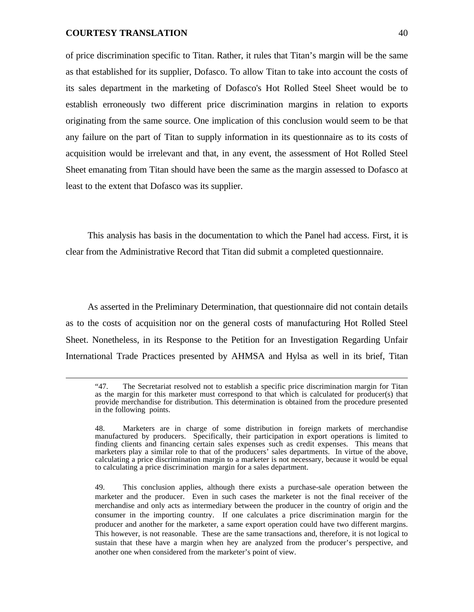$\overline{a}$ 

of price discrimination specific to Titan. Rather, it rules that Titan's margin will be the same as that established for its supplier, Dofasco. To allow Titan to take into account the costs of its sales department in the marketing of Dofasco's Hot Rolled Steel Sheet would be to establish erroneously two different price discrimination margins in relation to exports originating from the same source. One implication of this conclusion would seem to be that any failure on the part of Titan to supply information in its questionnaire as to its costs of acquisition would be irrelevant and that, in any event, the assessment of Hot Rolled Steel Sheet emanating from Titan should have been the same as the margin assessed to Dofasco at least to the extent that Dofasco was its supplier.

This analysis has basis in the documentation to which the Panel had access. First, it is clear from the Administrative Record that Titan did submit a completed questionnaire.

As asserted in the Preliminary Determination, that questionnaire did not contain details as to the costs of acquisition nor on the general costs of manufacturing Hot Rolled Steel Sheet. Nonetheless, in its Response to the Petition for an Investigation Regarding Unfair International Trade Practices presented by AHMSA and Hylsa as well in its brief, Titan

<sup>&</sup>quot;47. The Secretariat resolved not to establish a specific price discrimination margin for Titan as the margin for this marketer must correspond to that which is calculated for producer(s) that provide merchandise for distribution. This determination is obtained from the procedure presented in the following points.

<sup>48.</sup> Marketers are in charge of some distribution in foreign markets of merchandise manufactured by producers. Specifically, their participation in export operations is limited to finding clients and financing certain sales expenses such as credit expenses. This means that marketers play a similar role to that of the producers' sales departments. In virtue of the above, calculating a price discrimination margin to a marketer is not necessary, because it would be equal to calculating a price discrimination margin for a sales department.

<sup>49.</sup> This conclusion applies, although there exists a purchase-sale operation between the marketer and the producer. Even in such cases the marketer is not the final receiver of the merchandise and only acts as intermediary between the producer in the country of origin and the consumer in the importing country. If one calculates a price discrimination margin for the producer and another for the marketer, a same export operation could have two different margins. This however, is not reasonable. These are the same transactions and, therefore, it is not logical to sustain that these have a margin when hey are analyzed from the producer's perspective, and another one when considered from the marketer's point of view.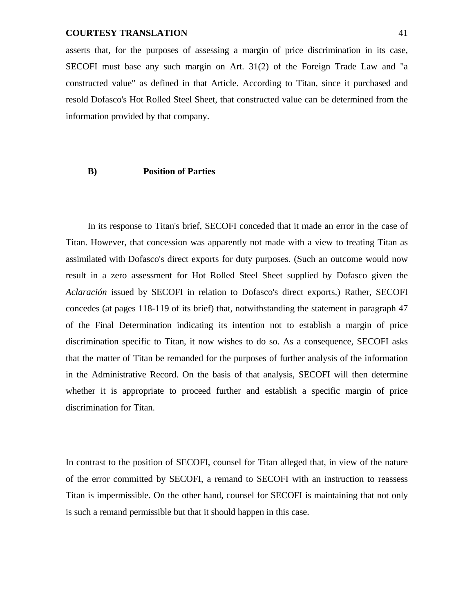asserts that, for the purposes of assessing a margin of price discrimination in its case, SECOFI must base any such margin on Art. 31(2) of the Foreign Trade Law and "a constructed value" as defined in that Article. According to Titan, since it purchased and resold Dofasco's Hot Rolled Steel Sheet, that constructed value can be determined from the information provided by that company.

# **B) Position of Parties**

In its response to Titan's brief, SECOFI conceded that it made an error in the case of Titan. However, that concession was apparently not made with a view to treating Titan as assimilated with Dofasco's direct exports for duty purposes. (Such an outcome would now result in a zero assessment for Hot Rolled Steel Sheet supplied by Dofasco given the *Aclaración* issued by SECOFI in relation to Dofasco's direct exports.) Rather, SECOFI concedes (at pages 118-119 of its brief) that, notwithstanding the statement in paragraph 47 of the Final Determination indicating its intention not to establish a margin of price discrimination specific to Titan, it now wishes to do so. As a consequence, SECOFI asks that the matter of Titan be remanded for the purposes of further analysis of the information in the Administrative Record. On the basis of that analysis, SECOFI will then determine whether it is appropriate to proceed further and establish a specific margin of price discrimination for Titan.

In contrast to the position of SECOFI, counsel for Titan alleged that, in view of the nature of the error committed by SECOFI, a remand to SECOFI with an instruction to reassess Titan is impermissible. On the other hand, counsel for SECOFI is maintaining that not only is such a remand permissible but that it should happen in this case.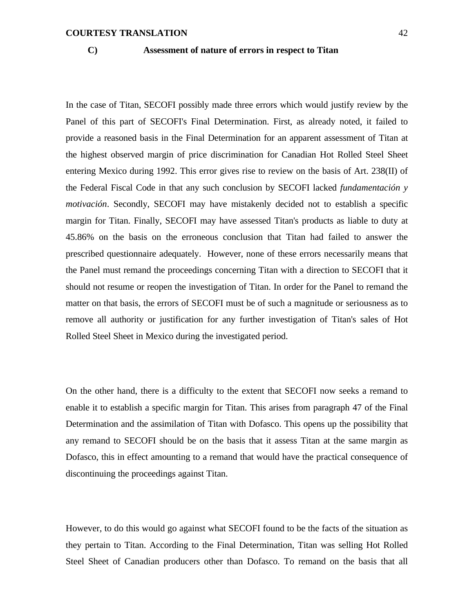# **C) Assessment of nature of errors in respect to Titan**

In the case of Titan, SECOFI possibly made three errors which would justify review by the Panel of this part of SECOFI's Final Determination. First, as already noted, it failed to provide a reasoned basis in the Final Determination for an apparent assessment of Titan at the highest observed margin of price discrimination for Canadian Hot Rolled Steel Sheet entering Mexico during 1992. This error gives rise to review on the basis of Art. 238(II) of the Federal Fiscal Code in that any such conclusion by SECOFI lacked *fundamentación y motivación*. Secondly, SECOFI may have mistakenly decided not to establish a specific margin for Titan. Finally, SECOFI may have assessed Titan's products as liable to duty at 45.86% on the basis on the erroneous conclusion that Titan had failed to answer the prescribed questionnaire adequately. However, none of these errors necessarily means that the Panel must remand the proceedings concerning Titan with a direction to SECOFI that it should not resume or reopen the investigation of Titan. In order for the Panel to remand the matter on that basis, the errors of SECOFI must be of such a magnitude or seriousness as to remove all authority or justification for any further investigation of Titan's sales of Hot Rolled Steel Sheet in Mexico during the investigated period.

On the other hand, there is a difficulty to the extent that SECOFI now seeks a remand to enable it to establish a specific margin for Titan. This arises from paragraph 47 of the Final Determination and the assimilation of Titan with Dofasco. This opens up the possibility that any remand to SECOFI should be on the basis that it assess Titan at the same margin as Dofasco, this in effect amounting to a remand that would have the practical consequence of discontinuing the proceedings against Titan.

However, to do this would go against what SECOFI found to be the facts of the situation as they pertain to Titan. According to the Final Determination, Titan was selling Hot Rolled Steel Sheet of Canadian producers other than Dofasco. To remand on the basis that all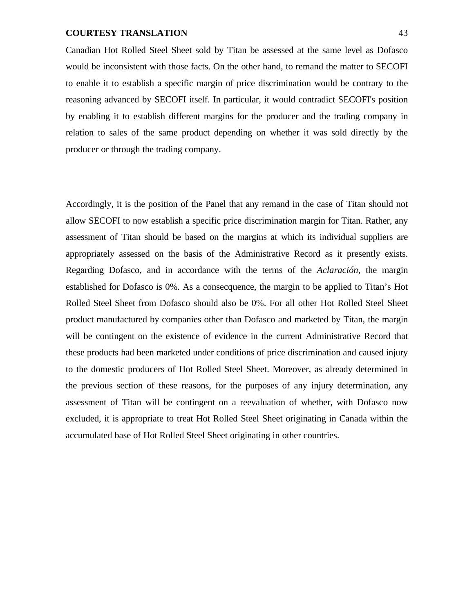Canadian Hot Rolled Steel Sheet sold by Titan be assessed at the same level as Dofasco would be inconsistent with those facts. On the other hand, to remand the matter to SECOFI to enable it to establish a specific margin of price discrimination would be contrary to the reasoning advanced by SECOFI itself. In particular, it would contradict SECOFI's position by enabling it to establish different margins for the producer and the trading company in relation to sales of the same product depending on whether it was sold directly by the producer or through the trading company.

Accordingly, it is the position of the Panel that any remand in the case of Titan should not allow SECOFI to now establish a specific price discrimination margin for Titan. Rather, any assessment of Titan should be based on the margins at which its individual suppliers are appropriately assessed on the basis of the Administrative Record as it presently exists. Regarding Dofasco, and in accordance with the terms of the *Aclaración*, the margin established for Dofasco is 0%. As a consecquence, the margin to be applied to Titan's Hot Rolled Steel Sheet from Dofasco should also be 0%. For all other Hot Rolled Steel Sheet product manufactured by companies other than Dofasco and marketed by Titan, the margin will be contingent on the existence of evidence in the current Administrative Record that these products had been marketed under conditions of price discrimination and caused injury to the domestic producers of Hot Rolled Steel Sheet. Moreover, as already determined in the previous section of these reasons, for the purposes of any injury determination, any assessment of Titan will be contingent on a reevaluation of whether, with Dofasco now excluded, it is appropriate to treat Hot Rolled Steel Sheet originating in Canada within the accumulated base of Hot Rolled Steel Sheet originating in other countries.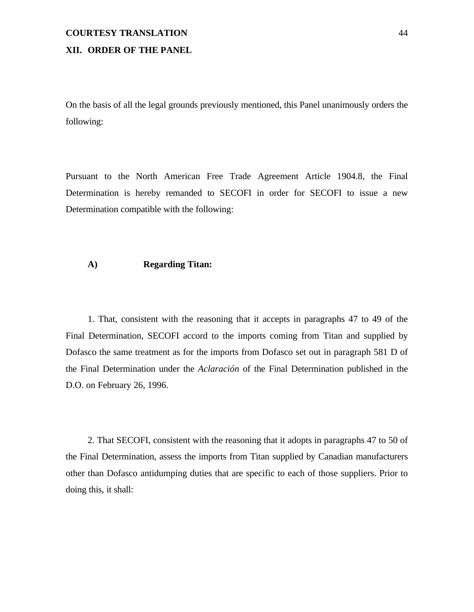## **XII. ORDER OF THE PANEL**

On the basis of all the legal grounds previously mentioned, this Panel unanimously orders the following:

Pursuant to the North American Free Trade Agreement Article 1904.8, the Final Determination is hereby remanded to SECOFI in order for SECOFI to issue a new Determination compatible with the following:

# **A) Regarding Titan:**

1. That, consistent with the reasoning that it accepts in paragraphs 47 to 49 of the Final Determination, SECOFI accord to the imports coming from Titan and supplied by Dofasco the same treatment as for the imports from Dofasco set out in paragraph 581 D of the Final Determination under the *Aclaración* of the Final Determination published in the D.O. on February 26, 1996.

2. That SECOFI, consistent with the reasoning that it adopts in paragraphs 47 to 50 of the Final Determination, assess the imports from Titan supplied by Canadian manufacturers other than Dofasco antidumping duties that are specific to each of those suppliers. Prior to doing this, it shall: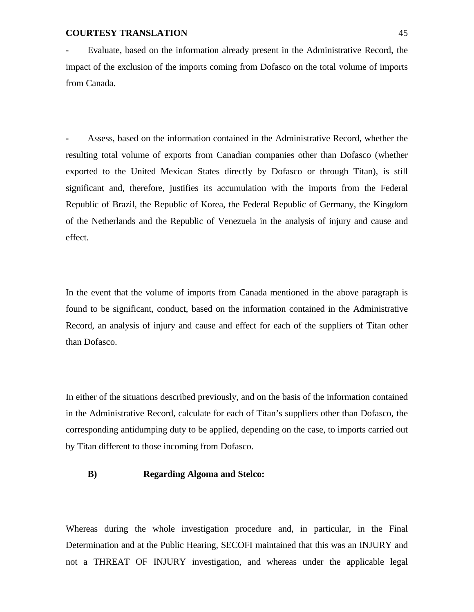**-** Evaluate, based on the information already present in the Administrative Record, the impact of the exclusion of the imports coming from Dofasco on the total volume of imports from Canada.

**-** Assess, based on the information contained in the Administrative Record, whether the resulting total volume of exports from Canadian companies other than Dofasco (whether exported to the United Mexican States directly by Dofasco or through Titan), is still significant and, therefore, justifies its accumulation with the imports from the Federal Republic of Brazil, the Republic of Korea, the Federal Republic of Germany, the Kingdom of the Netherlands and the Republic of Venezuela in the analysis of injury and cause and effect.

In the event that the volume of imports from Canada mentioned in the above paragraph is found to be significant, conduct, based on the information contained in the Administrative Record, an analysis of injury and cause and effect for each of the suppliers of Titan other than Dofasco.

In either of the situations described previously, and on the basis of the information contained in the Administrative Record, calculate for each of Titan's suppliers other than Dofasco, the corresponding antidumping duty to be applied, depending on the case, to imports carried out by Titan different to those incoming from Dofasco.

# **B) Regarding Algoma and Stelco:**

Whereas during the whole investigation procedure and, in particular, in the Final Determination and at the Public Hearing, SECOFI maintained that this was an INJURY and not a THREAT OF INJURY investigation, and whereas under the applicable legal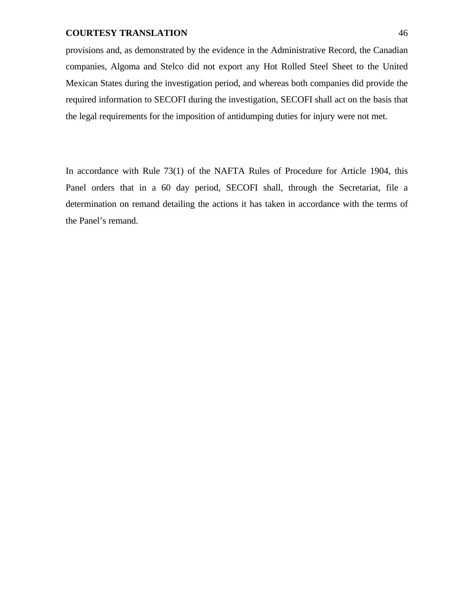provisions and, as demonstrated by the evidence in the Administrative Record, the Canadian companies, Algoma and Stelco did not export any Hot Rolled Steel Sheet to the United Mexican States during the investigation period, and whereas both companies did provide the required information to SECOFI during the investigation, SECOFI shall act on the basis that the legal requirements for the imposition of antidumping duties for injury were not met.

In accordance with Rule 73(1) of the NAFTA Rules of Procedure for Article 1904, this Panel orders that in a 60 day period, SECOFI shall, through the Secretariat, file a determination on remand detailing the actions it has taken in accordance with the terms of the Panel's remand.